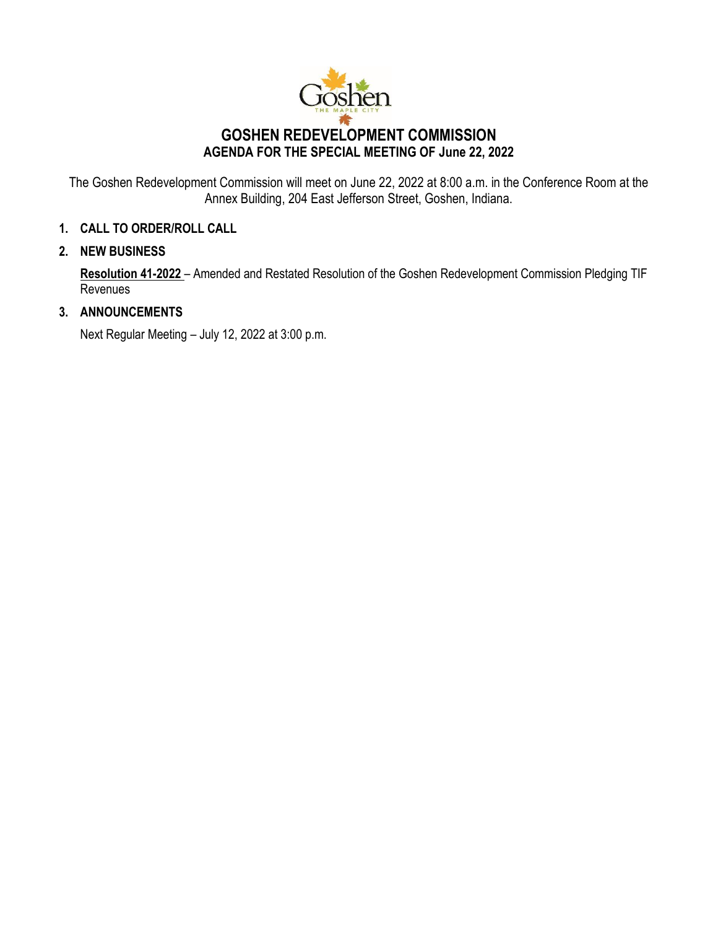

The Goshen Redevelopment Commission will meet on June 22, 2022 at 8:00 a.m. in the Conference Room at the Annex Building, 204 East Jefferson Street, Goshen, Indiana.

# **1. CALL TO ORDER/ROLL CALL**

### **2. NEW BUSINESS**

**Resolution 41-2022** – Amended and Restated Resolution of the Goshen Redevelopment Commission Pledging TIF Revenues

# **3. ANNOUNCEMENTS**

Next Regular Meeting – July 12, 2022 at 3:00 p.m.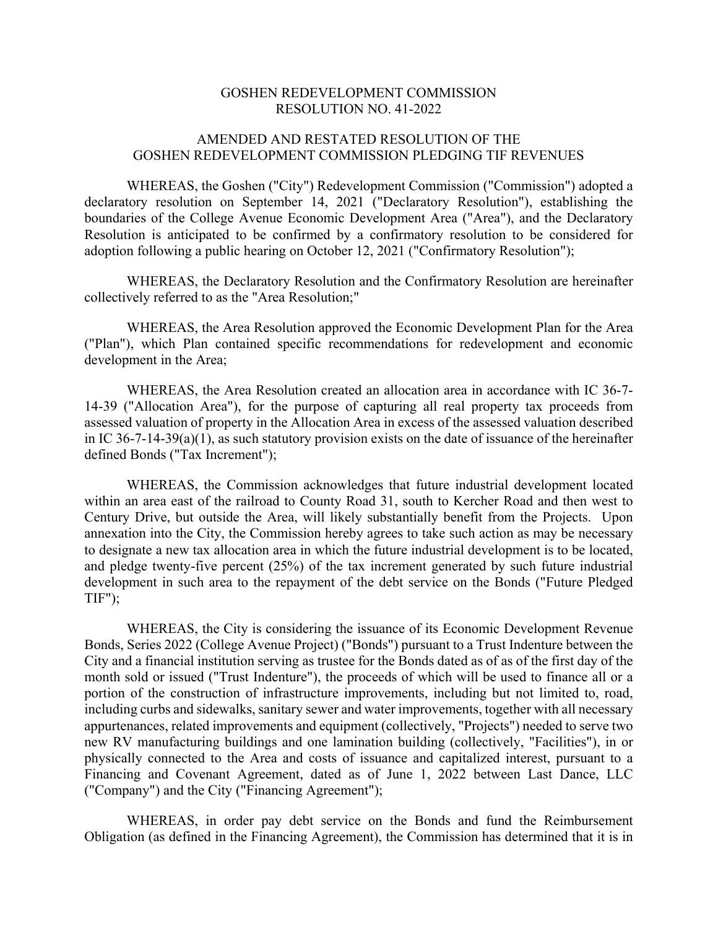#### GOSHEN REDEVELOPMENT COMMISSION RESOLUTION NO. 41-2022

#### AMENDED AND RESTATED RESOLUTION OF THE GOSHEN REDEVELOPMENT COMMISSION PLEDGING TIF REVENUES

WHEREAS, the Goshen ("City") Redevelopment Commission ("Commission") adopted a declaratory resolution on September 14, 2021 ("Declaratory Resolution"), establishing the boundaries of the College Avenue Economic Development Area ("Area"), and the Declaratory Resolution is anticipated to be confirmed by a confirmatory resolution to be considered for adoption following a public hearing on October 12, 2021 ("Confirmatory Resolution");

WHEREAS, the Declaratory Resolution and the Confirmatory Resolution are hereinafter collectively referred to as the "Area Resolution;"

WHEREAS, the Area Resolution approved the Economic Development Plan for the Area ("Plan"), which Plan contained specific recommendations for redevelopment and economic development in the Area;

WHEREAS, the Area Resolution created an allocation area in accordance with IC 36-7- 14-39 ("Allocation Area"), for the purpose of capturing all real property tax proceeds from assessed valuation of property in the Allocation Area in excess of the assessed valuation described in IC 36-7-14-39(a)(1), as such statutory provision exists on the date of issuance of the hereinafter defined Bonds ("Tax Increment");

WHEREAS, the Commission acknowledges that future industrial development located within an area east of the railroad to County Road 31, south to Kercher Road and then west to Century Drive, but outside the Area, will likely substantially benefit from the Projects. Upon annexation into the City, the Commission hereby agrees to take such action as may be necessary to designate a new tax allocation area in which the future industrial development is to be located, and pledge twenty-five percent (25%) of the tax increment generated by such future industrial development in such area to the repayment of the debt service on the Bonds ("Future Pledged  $TIF$ ");

WHEREAS, the City is considering the issuance of its Economic Development Revenue Bonds, Series 2022 (College Avenue Project) ("Bonds") pursuant to a Trust Indenture between the City and a financial institution serving as trustee for the Bonds dated as of as of the first day of the month sold or issued ("Trust Indenture"), the proceeds of which will be used to finance all or a portion of the construction of infrastructure improvements, including but not limited to, road, including curbs and sidewalks, sanitary sewer and water improvements, together with all necessary appurtenances, related improvements and equipment (collectively, "Projects") needed to serve two new RV manufacturing buildings and one lamination building (collectively, "Facilities"), in or physically connected to the Area and costs of issuance and capitalized interest, pursuant to a Financing and Covenant Agreement, dated as of June 1, 2022 between Last Dance, LLC ("Company") and the City ("Financing Agreement");

WHEREAS, in order pay debt service on the Bonds and fund the Reimbursement Obligation (as defined in the Financing Agreement), the Commission has determined that it is in